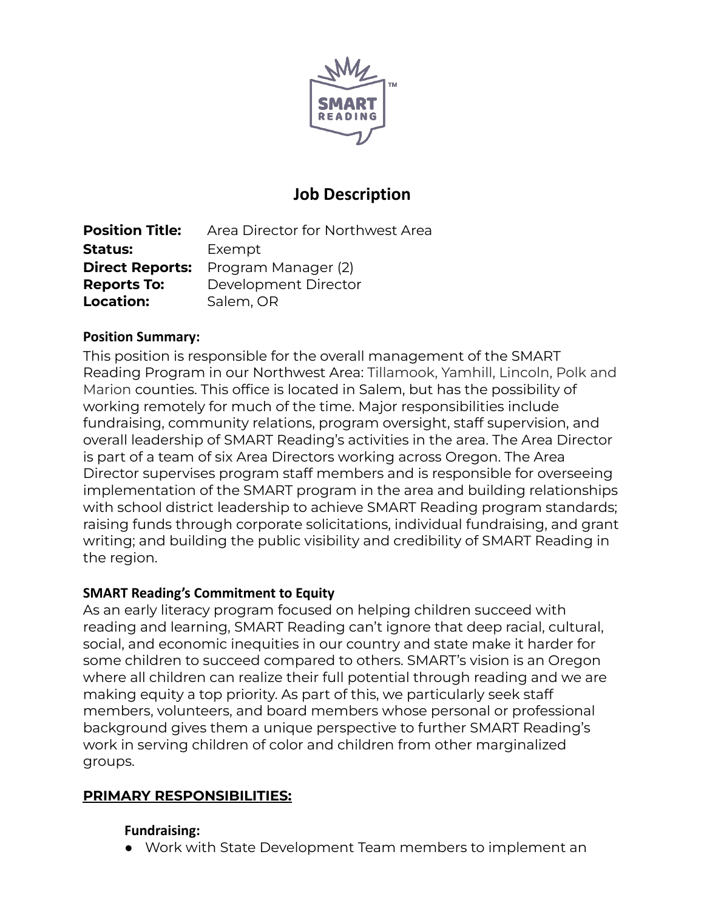

# **Job Description**

**Position Title:** Area Director for Northwest Area **Status:** Exempt **Direct Reports:** Program Manager (2) **Reports To:** Development Director **Location:** Salem, OR

#### **Position Summary:**

This position is responsible for the overall management of the SMART Reading Program in our Northwest Area: Tillamook, Yamhill, Lincoln, Polk and Marion counties. This office is located in Salem, but has the possibility of working remotely for much of the time. Major responsibilities include fundraising, community relations, program oversight, staff supervision, and overall leadership of SMART Reading's activities in the area. The Area Director is part of a team of six Area Directors working across Oregon. The Area Director supervises program staff members and is responsible for overseeing implementation of the SMART program in the area and building relationships with school district leadership to achieve SMART Reading program standards; raising funds through corporate solicitations, individual fundraising, and grant writing; and building the public visibility and credibility of SMART Reading in the region.

#### **SMART Reading's Commitment to Equity**

As an early literacy program focused on helping children succeed with reading and learning, SMART Reading can't ignore that deep racial, cultural, social, and economic inequities in our country and state make it harder for some children to succeed compared to others. SMART's vision is an Oregon where all children can realize their full potential through reading and we are making equity a top priority. As part of this, we particularly seek staff members, volunteers, and board members whose personal or professional background gives them a unique perspective to further SMART Reading's work in serving children of color and children from other marginalized groups.

# **PRIMARY RESPONSIBILITIES:**

# **Fundraising:**

● Work with State Development Team members to implement an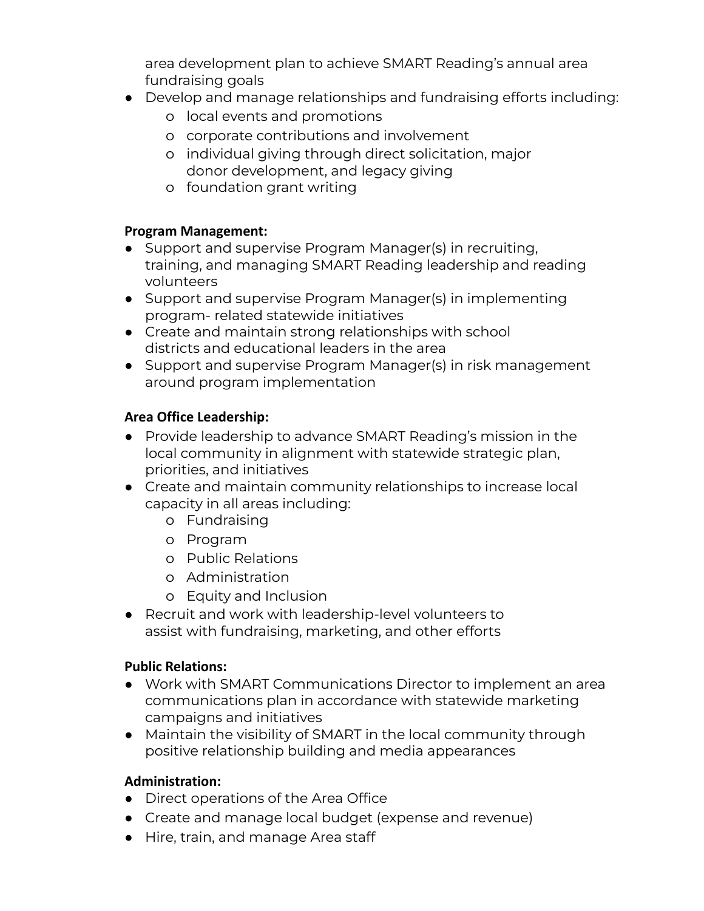area development plan to achieve SMART Reading's annual area fundraising goals

- Develop and manage relationships and fundraising efforts including:
	- o local events and promotions
	- o corporate contributions and involvement
	- o individual giving through direct solicitation, major donor development, and legacy giving
	- o foundation grant writing

## **Program Management:**

- Support and supervise Program Manager(s) in recruiting, training, and managing SMART Reading leadership and reading volunteers
- Support and supervise Program Manager(s) in implementing program- related statewide initiatives
- Create and maintain strong relationships with school districts and educational leaders in the area
- Support and supervise Program Manager(s) in risk management around program implementation

# **Area Office Leadership:**

- Provide leadership to advance SMART Reading's mission in the local community in alignment with statewide strategic plan, priorities, and initiatives
- Create and maintain community relationships to increase local capacity in all areas including:
	- o Fundraising
	- o Program
	- o Public Relations
	- o Administration
	- o Equity and Inclusion
- Recruit and work with leadership-level volunteers to assist with fundraising, marketing, and other efforts

# **Public Relations:**

- Work with SMART Communications Director to implement an area communications plan in accordance with statewide marketing campaigns and initiatives
- Maintain the visibility of SMART in the local community through positive relationship building and media appearances

# **Administration:**

- Direct operations of the Area Office
- Create and manage local budget (expense and revenue)
- Hire, train, and manage Area staff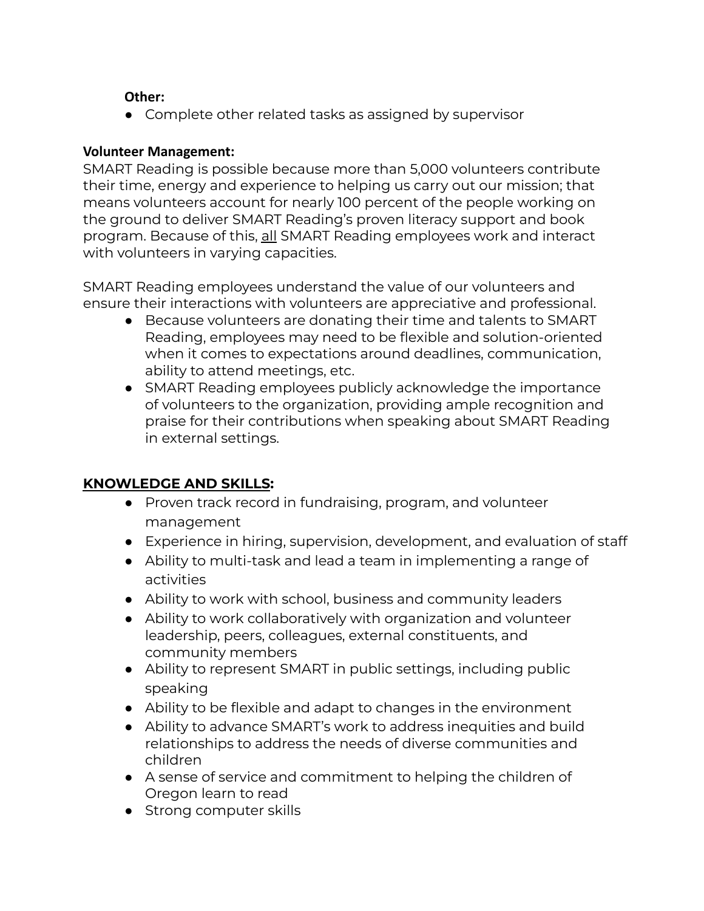## **Other:**

● Complete other related tasks as assigned by supervisor

#### **Volunteer Management:**

SMART Reading is possible because more than 5,000 volunteers contribute their time, energy and experience to helping us carry out our mission; that means volunteers account for nearly 100 percent of the people working on the ground to deliver SMART Reading's proven literacy support and book program. Because of this, all SMART Reading employees work and interact with volunteers in varying capacities.

SMART Reading employees understand the value of our volunteers and ensure their interactions with volunteers are appreciative and professional.

- Because volunteers are donating their time and talents to SMART Reading, employees may need to be flexible and solution-oriented when it comes to expectations around deadlines, communication, ability to attend meetings, etc.
- SMART Reading employees publicly acknowledge the importance of volunteers to the organization, providing ample recognition and praise for their contributions when speaking about SMART Reading in external settings.

# **KNOWLEDGE AND SKILLS:**

- Proven track record in fundraising, program, and volunteer management
- Experience in hiring, supervision, development, and evaluation of staff
- Ability to multi-task and lead a team in implementing a range of activities
- Ability to work with school, business and community leaders
- Ability to work collaboratively with organization and volunteer leadership, peers, colleagues, external constituents, and community members
- Ability to represent SMART in public settings, including public speaking
- Ability to be flexible and adapt to changes in the environment
- Ability to advance SMART's work to address inequities and build relationships to address the needs of diverse communities and children
- A sense of service and commitment to helping the children of Oregon learn to read
- Strong computer skills